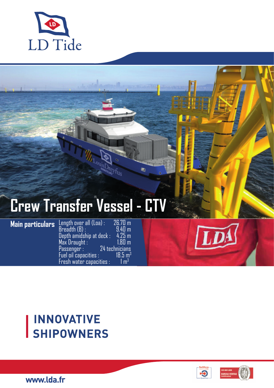

## **Crew Transfer Vessel - CT**

Dreyf<sub>us</sub>

œ,

**Main particulars** Length over all (Loa) : 26.70 m  $B$ readth  $(B)$  :  $9.40 \text{ m}$ Depth amidship at deck : 4.25 m Max Draught : 1.80 m  $24$  technicians<br>18.5 m<sup>3</sup> Fuel oil capacities :  $18.5 \text{ m}$ <br>Fresh water capacities :  $1 \text{ m}^3$ Fresh water capacities :

# **INNOVATIVE<br>SHIPOWNERS**





www.lda.fr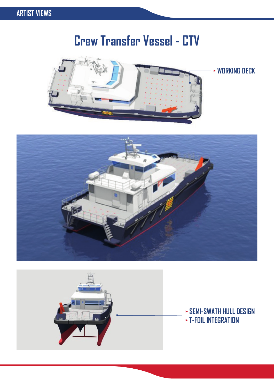### **Crew Transfer Vessel - CTV**



 **WORKING DECK**





 **SEMI-SWATH HULL DESIGN T-FOIL INTEGRATION**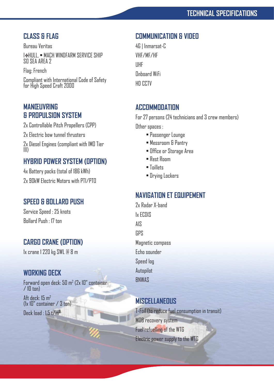#### **CLASS & FLAG**

Bureau Veritas I HULL, • MACH WINDFARM SERVICE SHIP

S0 SEA AREA 2

Flag: French

Compliant with International Code of Safety for High Speed Craft 2000

#### **MANŒUVRING & PROPULSION SYSTEM**

2x Controllable Pitch Propellers (CPP)

2x Electric bow tunnel thrusters

2x Diesel Engines (compliant with IMO Tier III)

#### **HYBRID POWER SYSTEM (OPTION)**

4x Battery packs (total of 186 kWh) 2x 90kW Electric Motors with PTI/PTO

#### **SPEED & BOLLARD PUSH**

Service Speed : 25 knots Bollard Push : 17 ton

#### **CARGO CRANE (OPTION)**

1x crane 1 220 kg SWL @ 8 m

#### **WORKING DECK**

Forward open deck: 50 m2 (2x 10" container  $/$  10 ton) Aft deck: 15 m<sup>2</sup>

(1x 10" container / 3 ton)

Deck load  $\cdot$  1.5 t/m<sup>2</sup>

#### **COMMUNICATION & VIDEO**

4G | Inmarsat-C VHF/MF/HF UHF Onboard WiFi **HD CCTV** 

#### **ACCOMMODATION**

For 27 persons (24 technicians and 3 crew members) Other spaces :

- Passenger Lounge
- Messroom & Pantry
- Office or Storage Area
- Rest Room
- Toillets
- Drying Lockers

#### **NAVIGATION ET EQUIPEMENT**

2x Radar X-band 1x ECDIS AIS GPS Magnetic compass Echo sounder Speed log Autopilot **BNWAS** 

#### **MISCELLANEOUS**

T-Foil (to reduce fuel consumption in transit) MOB recovery system Fuel refuelling of the WTG Electric power supply to the WTG